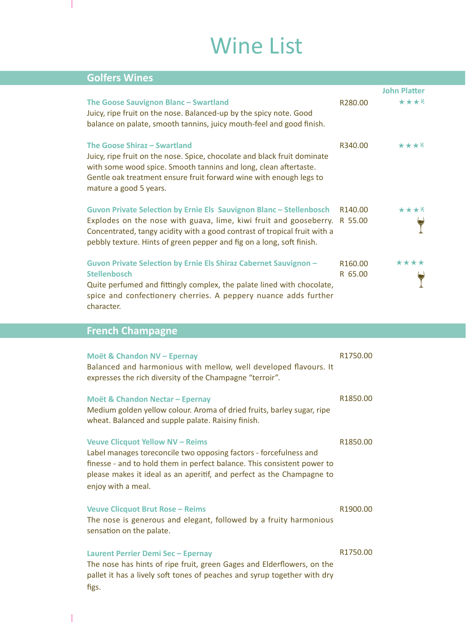# Wine List

| <b>Golfers Wines</b>                                                                                                                                                                                                                                                                                   |                                |                     |
|--------------------------------------------------------------------------------------------------------------------------------------------------------------------------------------------------------------------------------------------------------------------------------------------------------|--------------------------------|---------------------|
|                                                                                                                                                                                                                                                                                                        |                                | <b>John Platter</b> |
| The Goose Sauvignon Blanc - Swartland<br>Juicy, ripe fruit on the nose. Balanced-up by the spicy note. Good<br>balance on palate, smooth tannins, juicy mouth-feel and good finish.                                                                                                                    | R280.00                        | ****                |
| The Goose Shiraz - Swartland<br>Juicy, ripe fruit on the nose. Spice, chocolate and black fruit dominate<br>with some wood spice. Smooth tannins and long, clean aftertaste.<br>Gentle oak treatment ensure fruit forward wine with enough legs to<br>mature a good 5 years.                           | R340.00                        | ****                |
| Guvon Private Selection by Ernie Els Sauvignon Blanc - Stellenbosch<br>Explodes on the nose with guava, lime, kiwi fruit and gooseberry. R 55.00<br>Concentrated, tangy acidity with a good contrast of tropical fruit with a<br>pebbly texture. Hints of green pepper and fig on a long, soft finish. | R140.00                        | ****                |
| Guvon Private Selection by Ernie Els Shiraz Cabernet Sauvignon -<br><b>Stellenbosch</b><br>Quite perfumed and fittingly complex, the palate lined with chocolate,<br>spice and confectionery cherries. A peppery nuance adds further<br>character.                                                     | R <sub>160.00</sub><br>R 65.00 | ****                |
| French Chamnagne                                                                                                                                                                                                                                                                                       |                                |                     |

#### **French Champagne**

 $\mathbb{R}$ 

 $\overline{\phantom{a}}$ 

| Moët & Chandon NV - Epernay<br>Balanced and harmonious with mellow, well developed flavours. It<br>expresses the rich diversity of the Champagne "terroir".                                                                                                                            | R1750.00 |
|----------------------------------------------------------------------------------------------------------------------------------------------------------------------------------------------------------------------------------------------------------------------------------------|----------|
| Moët & Chandon Nectar - Epernay<br>Medium golden yellow colour. Aroma of dried fruits, barley sugar, ripe<br>wheat. Balanced and supple palate. Raisiny finish.                                                                                                                        | R1850.00 |
| <b>Veuve Clicquot Yellow NV - Reims</b><br>Label manages toreconcile two opposing factors - forcefulness and<br>finesse - and to hold them in perfect balance. This consistent power to<br>please makes it ideal as an aperitif, and perfect as the Champagne to<br>enjoy with a meal. | R1850.00 |
| <b>Veuve Clicquot Brut Rose - Reims</b><br>The nose is generous and elegant, followed by a fruity harmonious<br>sensation on the palate.                                                                                                                                               | R1900.00 |
| Laurent Perrier Demi Sec - Epernay<br>The nose has hints of ripe fruit, green Gages and Elderflowers, on the<br>pallet it has a lively soft tones of peaches and syrup together with dry<br>figs.                                                                                      | R1750.00 |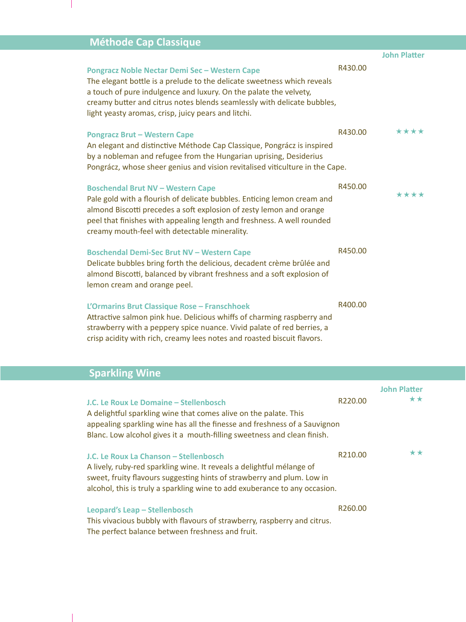## **Méthode Cap Classique**

 $\overline{\phantom{a}}$ 

|                                                                                                                                                                                                                                                                                                                                 |         | <b>John Platter</b> |
|---------------------------------------------------------------------------------------------------------------------------------------------------------------------------------------------------------------------------------------------------------------------------------------------------------------------------------|---------|---------------------|
| Pongracz Noble Nectar Demi Sec - Western Cape<br>The elegant bottle is a prelude to the delicate sweetness which reveals<br>a touch of pure indulgence and luxury. On the palate the velvety,<br>creamy butter and citrus notes blends seamlessly with delicate bubbles,<br>light yeasty aromas, crisp, juicy pears and litchi. | R430.00 |                     |
| <b>Pongracz Brut - Western Cape</b><br>An elegant and distinctive Méthode Cap Classique, Pongrácz is inspired<br>by a nobleman and refugee from the Hungarian uprising, Desiderius<br>Pongrácz, whose sheer genius and vision revitalised viticulture in the Cape.                                                              | R430.00 | ****                |
| <b>Boschendal Brut NV - Western Cape</b><br>Pale gold with a flourish of delicate bubbles. Enticing lemon cream and<br>almond Biscotti precedes a soft explosion of zesty lemon and orange<br>peel that finishes with appealing length and freshness. A well rounded<br>creamy mouth-feel with detectable minerality.           | R450.00 | ****                |
| <b>Boschendal Demi-Sec Brut NV - Western Cape</b><br>Delicate bubbles bring forth the delicious, decadent crème brûlée and<br>almond Biscotti, balanced by vibrant freshness and a soft explosion of<br>lemon cream and orange peel.                                                                                            | R450.00 |                     |
| L'Ormarins Brut Classique Rose - Franschhoek<br>Attractive salmon pink hue. Delicious whiffs of charming raspberry and<br>strawberry with a peppery spice nuance. Vivid palate of red berries, a<br>crisp acidity with rich, creamy lees notes and roasted biscuit flavors.                                                     | R400.00 |                     |

# **Sparkling Wine**

 $\overline{\phantom{a}}$ 

|                                                                            |         | <b>John Platter</b> |
|----------------------------------------------------------------------------|---------|---------------------|
| J.C. Le Roux Le Domaine - Stellenbosch                                     | R220.00 | **                  |
| A delightful sparkling wine that comes alive on the palate. This           |         |                     |
| appealing sparkling wine has all the finesse and freshness of a Sauvignon  |         |                     |
| Blanc. Low alcohol gives it a mouth-filling sweetness and clean finish.    |         |                     |
| J.C. Le Roux La Chanson – Stellenbosch                                     | R210.00 | **                  |
| A lively, ruby-red sparkling wine. It reveals a delightful mélange of      |         |                     |
| sweet, fruity flavours suggesting hints of strawberry and plum. Low in     |         |                     |
| alcohol, this is truly a sparkling wine to add exuberance to any occasion. |         |                     |
| Leopard's Leap - Stellenbosch                                              | R260.00 |                     |
| This vivacious bubbly with flavours of strawberry, raspberry and citrus.   |         |                     |
| The perfect balance between freshness and fruit.                           |         |                     |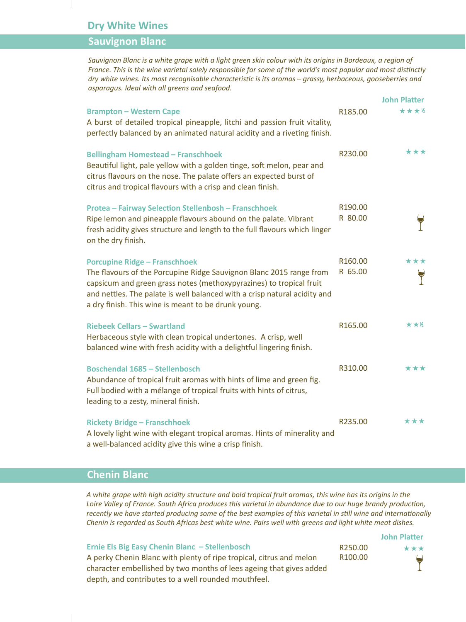#### **Dry White Wines**

#### **Sauvignon Blanc**

*Sauvignon Blanc is a white grape with a light green skin colour with its origins in Bordeaux, a region of France. This is the wine varietal solely responsible for some of the world's most popular and most distinctly dry white wines. Its most recognisable characteristic is its aromas – grassy, herbaceous, gooseberries and asparagus. Ideal with all greens and seafood.*

|                                                                                                                                                                                                                                                                                                                        |                    | JUIIII FIALLEI                     |
|------------------------------------------------------------------------------------------------------------------------------------------------------------------------------------------------------------------------------------------------------------------------------------------------------------------------|--------------------|------------------------------------|
| <b>Brampton - Western Cape</b><br>A burst of detailed tropical pineapple, litchi and passion fruit vitality,<br>perfectly balanced by an animated natural acidity and a riveting finish.                                                                                                                               | R185.00            | ****                               |
| <b>Bellingham Homestead - Franschhoek</b><br>Beautiful light, pale yellow with a golden tinge, soft melon, pear and<br>citrus flavours on the nose. The palate offers an expected burst of<br>citrus and tropical flavours with a crisp and clean finish.                                                              | R230.00            | ***                                |
| <b>Protea - Fairway Selection Stellenbosh - Franschhoek</b><br>Ripe lemon and pineapple flavours abound on the palate. Vibrant<br>fresh acidity gives structure and length to the full flavours which linger<br>on the dry finish.                                                                                     | R190.00<br>R 80.00 |                                    |
| <b>Porcupine Ridge - Franschhoek</b><br>The flavours of the Porcupine Ridge Sauvignon Blanc 2015 range from<br>capsicum and green grass notes (methoxypyrazines) to tropical fruit<br>and nettles. The palate is well balanced with a crisp natural acidity and<br>a dry finish. This wine is meant to be drunk young. | R160.00<br>R 65.00 | ***                                |
| <b>Riebeek Cellars - Swartland</b><br>Herbaceous style with clean tropical undertones. A crisp, well<br>balanced wine with fresh acidity with a delightful lingering finish.                                                                                                                                           | R165.00            | $\star\star\!\!\!\star\!\!\!\star$ |
| <b>Boschendal 1685 - Stellenbosch</b><br>Abundance of tropical fruit aromas with hints of lime and green fig.<br>Full bodied with a mélange of tropical fruits with hints of citrus,<br>leading to a zesty, mineral finish.                                                                                            | R310.00            | ***                                |
| <b>Rickety Bridge - Franschhoek</b><br>A lovely light wine with elegant tropical aromas. Hints of minerality and<br>a well-balanced acidity give this wine a crisp finish.                                                                                                                                             | R235.00            | ***                                |

#### **Chenin Blanc**

*A white grape with high acidity structure and bold tropical fruit aromas, this wine has its origins in the Loire Valley of France. South Africa produces this varietal in abundance due to our huge brandy production, recently we have started producing some of the best examples of this varietal in still wine and internationally Chenin is regarded as South Africas best white wine. Pairs well with greens and light white meat dishes.*

**Ernie Els Big Easy Chenin Blanc – Stellenbosch**  A perky Chenin Blanc with plenty of ripe tropical, citrus and melon character embellished by two months of lees ageing that gives added depth, and contributes to a well rounded mouthfeel.

**John Platter** R250.00 \*\*\* R100.00

**John Pla�er**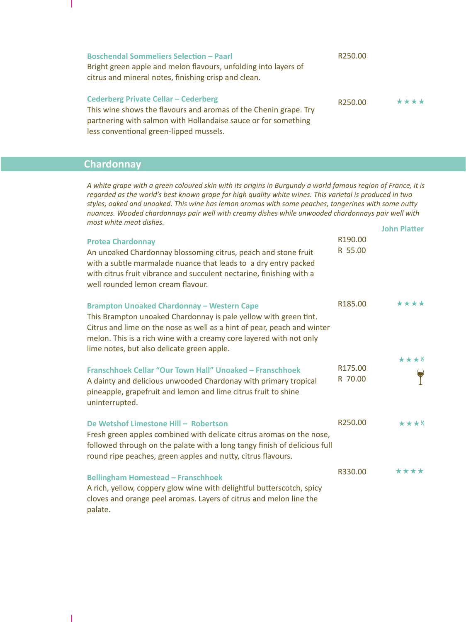| <b>Boschendal Sommeliers Selection - Paarl</b><br>Bright green apple and melon flavours, unfolding into layers of<br>citrus and mineral notes, finishing crisp and clean.                                                    | R250.00 |      |
|------------------------------------------------------------------------------------------------------------------------------------------------------------------------------------------------------------------------------|---------|------|
| <b>Cederberg Private Cellar - Cederberg</b><br>This wine shows the flavours and aromas of the Chenin grape. Try<br>partnering with salmon with Hollandaise sauce or for something<br>less conventional green-lipped mussels. | R250.00 | **** |

#### **Chardonnay**

 $\overline{\phantom{a}}$ 

**John Pla�er** *A white grape with a green coloured skin with its origins in Burgundy a world famous region of France, it is regarded as the world's best known grape for high quality white wines. This varietal is produced in two styles, oaked and unoaked. This wine has lemon aromas with some peaches, tangerines with some nutty nuances. Wooded chardonnays pair well with creamy dishes while unwooded chardonnays pair well with most white meat dishes.*

| <b>Protea Chardonnay</b><br>An unoaked Chardonnay blossoming citrus, peach and stone fruit<br>with a subtle marmalade nuance that leads to a dry entry packed<br>with citrus fruit vibrance and succulent nectarine, finishing with a<br>well rounded lemon cream flavour.                                            | R190.00<br>R 55.00  | <b>John Platter</b>    |
|-----------------------------------------------------------------------------------------------------------------------------------------------------------------------------------------------------------------------------------------------------------------------------------------------------------------------|---------------------|------------------------|
| <b>Brampton Unoaked Chardonnay - Western Cape</b><br>This Brampton unoaked Chardonnay is pale yellow with green tint.<br>Citrus and lime on the nose as well as a hint of pear, peach and winter<br>melon. This is a rich wine with a creamy core layered with not only<br>lime notes, but also delicate green apple. | R <sub>185.00</sub> | ****                   |
| Franschhoek Cellar "Our Town Hall" Unoaked - Franschhoek<br>A dainty and delicious unwooded Chardonay with primary tropical<br>pineapple, grapefruit and lemon and lime citrus fruit to shine<br>uninterrupted.                                                                                                       | R175.00<br>R 70.00  | ★★★½                   |
| De Wetshof Limestone Hill - Robertson<br>Fresh green apples combined with delicate citrus aromas on the nose,<br>followed through on the palate with a long tangy finish of delicious full<br>round ripe peaches, green apples and nutty, citrus flavours.                                                            | R250.00             | $\star\star\star\star$ |
| <b>Bellingham Homestead - Franschhoek</b><br>A rich, yellow, coppery glow wine with delightful butterscotch, spicy<br>cloves and orange peel aromas. Layers of citrus and melon line the<br>palate.                                                                                                                   | R330.00             | ****                   |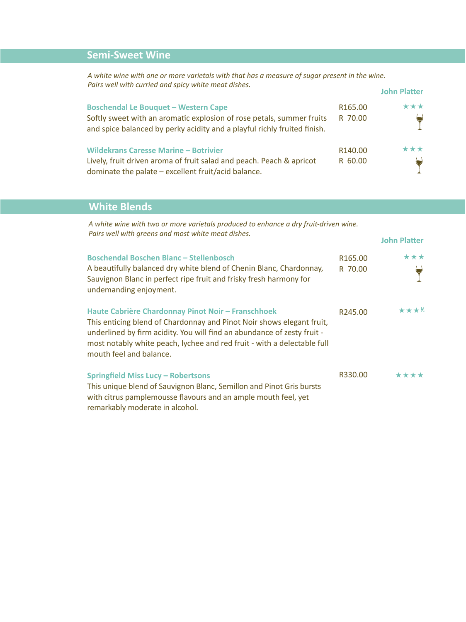## **Semi-Sweet Wine**

*A white wine with one or more varietals with that has a measure of sugar present in the wine. Pairs well with curried and spicy white meat dishes.*

| <u>FUITS WEILWILLI CULLIEU UITU SPICY WIITTE IIIEUL UISIIES.</u>                                                                                                                                 |                    | <b>John Platter</b> |
|--------------------------------------------------------------------------------------------------------------------------------------------------------------------------------------------------|--------------------|---------------------|
| <b>Boschendal Le Bouquet - Western Cape</b><br>Softly sweet with an aromatic explosion of rose petals, summer fruits<br>and spice balanced by perky acidity and a playful richly fruited finish. | R165.00<br>R 70.00 | ***                 |
| <b>Wildekrans Caresse Marine - Botrivier</b><br>Lively, fruit driven aroma of fruit salad and peach. Peach & apricot<br>dominate the palate – excellent fruit/acid balance.                      | R140.00<br>R 60.00 | ***                 |

### **White Blends**

*A white wine with two or more varietals produced to enhance a dry fruit-driven wine. Pairs well with greens and most white meat dishes.*

| <b>Boschendal Boschen Blanc - Stellenbosch</b><br>A beautifully balanced dry white blend of Chenin Blanc, Chardonnay,<br>Sauvignon Blanc in perfect ripe fruit and frisky fresh harmony for<br>undemanding enjoyment.                                                                                        | R165.00<br>R 70.00 | ***  |
|--------------------------------------------------------------------------------------------------------------------------------------------------------------------------------------------------------------------------------------------------------------------------------------------------------------|--------------------|------|
| Haute Cabrière Chardonnay Pinot Noir - Franschhoek<br>This enticing blend of Chardonnay and Pinot Noir shows elegant fruit,<br>underlined by firm acidity. You will find an abundance of zesty fruit -<br>most notably white peach, lychee and red fruit - with a delectable full<br>mouth feel and balance. | R245.00            | **** |
| <b>Springfield Miss Lucy - Robertsons</b><br>This unique blend of Sauvignon Blanc, Semillon and Pinot Gris bursts<br>with citrus pamplemousse flavours and an ample mouth feel, yet<br>remarkably moderate in alcohol.                                                                                       | R330.00            | **** |

**John Pla�er**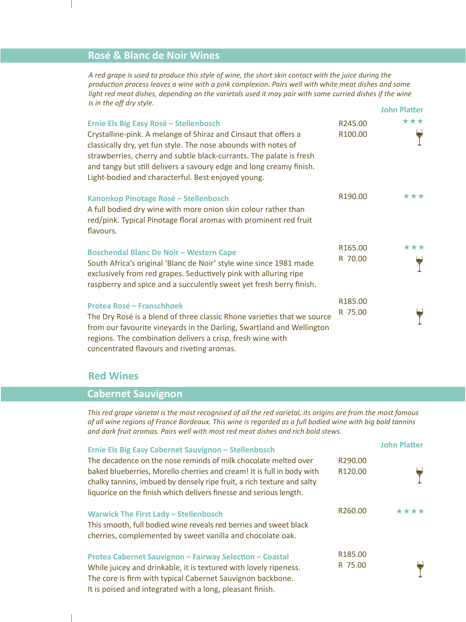#### **Rosé & Blanc de Noir Wines**

*A red grape is used to produce this style of wine, the short skin contact with the juice during the production process leaves a wine with a pink complexion. Pairs well with white meat dishes and some light red meat dishes, depending on the varietals used it may pair with some curried dishes if the wine is in the off dry style.* **John Pla�er**

| Ernie Els Big Easy Rosé - Stellenbosch<br>Crystalline-pink. A melange of Shiraz and Cinsaut that offers a<br>classically dry, yet fun style. The nose abounds with notes of<br>strawberries, cherry and subtle black-currants. The palate is fresh<br>and tangy but still delivers a savoury edge and long creamy finish.<br>Light-bodied and characterful. Best enjoyed young. | R245.00<br>R100.00             | $\star\star\star$ |
|---------------------------------------------------------------------------------------------------------------------------------------------------------------------------------------------------------------------------------------------------------------------------------------------------------------------------------------------------------------------------------|--------------------------------|-------------------|
| Kanonkop Pinotage Rosé - Stellenbosch<br>A full bodied dry wine with more onion skin colour rather than<br>red/pink. Typical Pinotage floral aromas with prominent red fruit<br>flavours.                                                                                                                                                                                       | R190.00                        | ***               |
| <b>Boschendal Blanc De Noir - Western Cape</b><br>South Africa's original 'Blanc de Noir' style wine since 1981 made<br>exclusively from red grapes. Seductively pink with alluring ripe<br>raspberry and spice and a succulently sweet yet fresh berry finish.                                                                                                                 | R <sub>165.00</sub><br>R 70.00 | ***               |
| Protea Rosé – Franschhoek<br>The Dry Rosé is a blend of three classic Rhone varieties that we source<br>from our favourite vineyards in the Darling, Swartland and Wellington<br>regions. The combination delivers a crisp, fresh wine with<br>concentrated flavours and riveting aromas.                                                                                       | R185.00<br>R 75.00             |                   |

#### **Red Wines**

#### **Cabernet Sauvignon**

*This red grape varietal is the most recognised of all the red varietal, its origins are from the most famous of all wine regions of France Bordeaux. This wine is regarded as a full bodied wine with big bold tannins and dark fruit aromas. Pairs well with most red meat dishes and rich bold stews.* 

| Ernie Els Big Easy Cabernet Sauvignon - Stellenbosch                                                                                                                                                                                                                                      |                    | <b>John Platter</b> |
|-------------------------------------------------------------------------------------------------------------------------------------------------------------------------------------------------------------------------------------------------------------------------------------------|--------------------|---------------------|
| The decadence on the nose reminds of milk chocolate melted over<br>baked blueberries, Morello cherries and cream! It is full in body with<br>chalky tannins, imbued by densely ripe fruit, a rich texture and salty<br>liquorice on the finish which delivers finesse and serious length. | R290.00<br>R120.00 |                     |
| <b>Warwick The First Lady - Stellenbosch</b><br>This smooth, full bodied wine reveals red berries and sweet black<br>cherries, complemented by sweet vanilla and chocolate oak.                                                                                                           | R260.00            | ****                |
| Protea Cabernet Sauvignon - Fairway Selection - Coastal<br>While juicey and drinkable, it is textured with lovely ripeness.<br>The core is firm with typical Cabernet Sauvignon backbone.<br>It is poised and integrated with a long, pleasant finish.                                    | R185.00<br>R 75.00 |                     |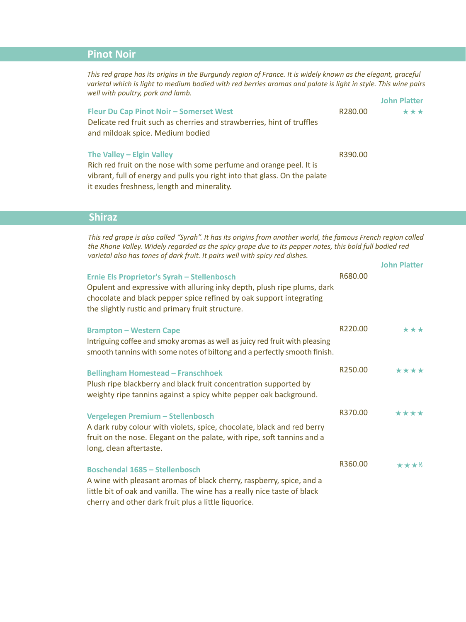### **Pinot Noir**

**John Platter** *This red grape has its origins in the Burgundy region of France. It is widely known as the elegant, graceful varietal which is light to medium bodied with red berries aromas and palate is light in style. This wine pairs well with poultry, pork and lamb.*

|                                                                                                                                                              |         | JOHN FIALLET |
|--------------------------------------------------------------------------------------------------------------------------------------------------------------|---------|--------------|
| <b>Fleur Du Cap Pinot Noir - Somerset West</b><br>Delicate red fruit such as cherries and strawberries, hint of truffles<br>and mildoak spice. Medium bodied | R280.00 | ***          |
| The Valley - Elgin Valley                                                                                                                                    | R390.00 |              |
| Rich red fruit on the nose with some perfume and orange peel. It is                                                                                          |         |              |
| vibrant, full of energy and pulls you right into that glass. On the palate                                                                                   |         |              |
| it exudes freshness, length and minerality.                                                                                                                  |         |              |

#### **Shiraz**

*This red grape is also called "Syrah". It has its origins from another world, the famous French region called the Rhone Valley. Widely regarded as the spicy grape due to its pepper notes, this bold full bodied red varietal also has tones of dark fruit. It pairs well with spicy red dishes.*

|                                                                                                                                                                                                                                                   |         | <b>John Platter</b> |
|---------------------------------------------------------------------------------------------------------------------------------------------------------------------------------------------------------------------------------------------------|---------|---------------------|
| Ernie Els Proprietor's Syrah - Stellenbosch<br>Opulent and expressive with alluring inky depth, plush ripe plums, dark<br>chocolate and black pepper spice refined by oak support integrating<br>the slightly rustic and primary fruit structure. | R680.00 |                     |
| <b>Brampton - Western Cape</b><br>Intriguing coffee and smoky aromas as well as juicy red fruit with pleasing<br>smooth tannins with some notes of biltong and a perfectly smooth finish.                                                         | R220.00 | ***                 |
| <b>Bellingham Homestead - Franschhoek</b><br>Plush ripe blackberry and black fruit concentration supported by<br>weighty ripe tannins against a spicy white pepper oak background.                                                                | R250.00 | ****                |
| Vergelegen Premium - Stellenbosch<br>A dark ruby colour with violets, spice, chocolate, black and red berry<br>fruit on the nose. Elegant on the palate, with ripe, soft tannins and a<br>long, clean aftertaste.                                 | R370.00 | ****                |
| <b>Boschendal 1685 - Stellenbosch</b><br>A wine with pleasant aromas of black cherry, raspberry, spice, and a<br>little bit of oak and vanilla. The wine has a really nice taste of black<br>cherry and other dark fruit plus a little liquorice. | R360.00 | ****                |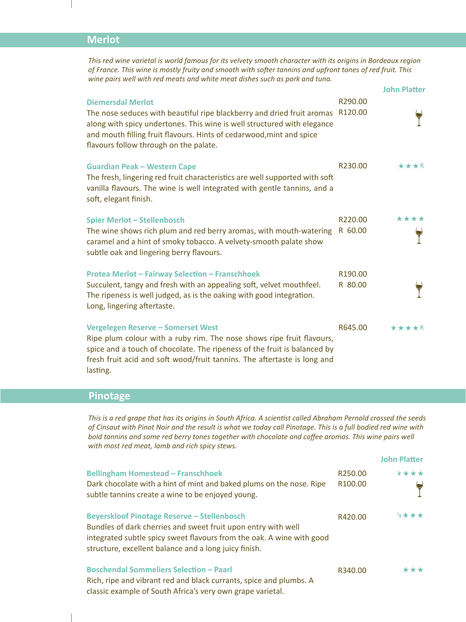#### **Merlot**

*This red wine varietal is world famous for its velvety smooth character with its origins in Bordeaux region of France. This wine is mostly fruity and smooth with softer tannins and upfront tones of red fruit. This wine pairs well with red meats and white meat dishes such as pork and tuna.*

|                                                                                                                                                                                                                                                                                                 |                                | <b>John Platter</b> |
|-------------------------------------------------------------------------------------------------------------------------------------------------------------------------------------------------------------------------------------------------------------------------------------------------|--------------------------------|---------------------|
| <b>Diemersdal Merlot</b><br>The nose seduces with beautiful ripe blackberry and dried fruit aromas<br>along with spicy undertones. This wine is well structured with elegance<br>and mouth filling fruit flavours. Hints of cedarwood, mint and spice<br>flavours follow through on the palate. | R290.00<br>R120.00             |                     |
| <b>Guardian Peak - Western Cape</b><br>The fresh, lingering red fruit characteristics are well supported with soft<br>vanilla flavours. The wine is well integrated with gentle tannins, and a<br>soft, elegant finish.                                                                         | R230.00                        | ****                |
| <b>Spier Merlot - Stellenbosch</b><br>The wine shows rich plum and red berry aromas, with mouth-watering<br>caramel and a hint of smoky tobacco. A velvety-smooth palate show<br>subtle oak and lingering berry flavours.                                                                       | R220.00<br>R 60.00             | ****                |
| <b>Protea Merlot - Fairway Selection - Franschhoek</b><br>Succulent, tangy and fresh with an appealing soft, velvet mouthfeel.<br>The ripeness is well judged, as is the oaking with good integration.<br>Long, lingering aftertaste.                                                           | R <sub>190.00</sub><br>R 80.00 |                     |
| Vergelegen Reserve - Somerset West<br>Ripe plum colour with a ruby rim. The nose shows ripe fruit flavours,<br>spice and a touch of chocolate. The ripeness of the fruit is balanced by<br>fresh fruit acid and soft wood/fruit tannins. The aftertaste is long and<br>lasting.                 | R645.00                        | *****               |

#### **Pinotage**

*This is a red grape that has its origins in South Africa. A scientist called Abraham Pernold crossed the seeds of Cinsaut with Pinot Noir and the result is what we today call Pinotage. This is a full bodied red wine with bold tannins and some red berry tones together with chocolate and coffee aromas. This wine pairs well with most red meat, lamb and rich spicy stews.*

|                                                                                                                                                                                                                                                       |                                | <b>John Platter</b> |
|-------------------------------------------------------------------------------------------------------------------------------------------------------------------------------------------------------------------------------------------------------|--------------------------------|---------------------|
| <b>Bellingham Homestead - Franschhoek</b><br>Dark chocolate with a hint of mint and baked plums on the nose. Ripe<br>subtle tannins create a wine to be enjoyed young.                                                                                | R <sub>250.00</sub><br>R100.00 | ****                |
| <b>Beyerskloof Pinotage Reserve - Stellenbosch</b><br>Bundles of dark cherries and sweet fruit upon entry with well<br>integrated subtle spicy sweet flavours from the oak. A wine with good<br>structure, excellent balance and a long juicy finish. | R420.00                        | ****                |
| <b>Boschendal Sommeliers Selection - Paarl</b><br>Rich, ripe and vibrant red and black currants, spice and plumbs. A<br>classic example of South Africa's very own grape varietal.                                                                    | R340.00                        | ***                 |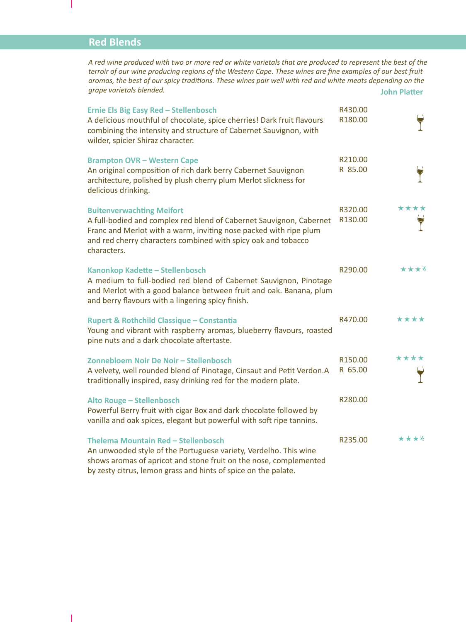#### **Red Blends**

*A red wine produced with two or more red or white varietals that are produced to represent the best of the terroir of our wine producing regions of the Western Cape. These wines are fine examples of our best fruit aromas, the best of our spicy traditions. These wines pair well with red and white meats depending on the grape varietals blended.* **John Platter** 

| <b>Ernie Els Big Easy Red - Stellenbosch</b>                                                                                                                                                                                                                 | R430.00            |      |
|--------------------------------------------------------------------------------------------------------------------------------------------------------------------------------------------------------------------------------------------------------------|--------------------|------|
| A delicious mouthful of chocolate, spice cherries! Dark fruit flavours<br>combining the intensity and structure of Cabernet Sauvignon, with<br>wilder, spicier Shiraz character.                                                                             | R180.00            |      |
| <b>Brampton OVR - Western Cape</b><br>An original composition of rich dark berry Cabernet Sauvignon<br>architecture, polished by plush cherry plum Merlot slickness for<br>delicious drinking.                                                               | R210.00<br>R 85.00 |      |
| <b>Buitenverwachting Meifort</b><br>A full-bodied and complex red blend of Cabernet Sauvignon, Cabernet<br>Franc and Merlot with a warm, inviting nose packed with ripe plum<br>and red cherry characters combined with spicy oak and tobacco<br>characters. | R320.00<br>R130.00 | **** |
| Kanonkop Kadette - Stellenbosch<br>A medium to full-bodied red blend of Cabernet Sauvignon, Pinotage<br>and Merlot with a good balance between fruit and oak. Banana, plum<br>and berry flavours with a lingering spicy finish.                              | R290.00            | **** |
| <b>Rupert &amp; Rothchild Classique - Constantia</b><br>Young and vibrant with raspberry aromas, blueberry flavours, roasted<br>pine nuts and a dark chocolate aftertaste.                                                                                   | R470.00            | **** |
| Zonnebloem Noir De Noir - Stellenbosch<br>A velvety, well rounded blend of Pinotage, Cinsaut and Petit Verdon.A<br>traditionally inspired, easy drinking red for the modern plate.                                                                           | R150.00<br>R 65.00 | **** |
| Alto Rouge - Stellenbosch<br>Powerful Berry fruit with cigar Box and dark chocolate followed by<br>vanilla and oak spices, elegant but powerful with soft ripe tannins.                                                                                      | R280.00            |      |
| Thelema Mountain Red - Stellenbosch<br>An unwooded style of the Portuguese variety, Verdelho. This wine<br>shows aromas of apricot and stone fruit on the nose, complemented<br>by zesty citrus, lemon grass and hints of spice on the palate.               | R235.00            | ★★★½ |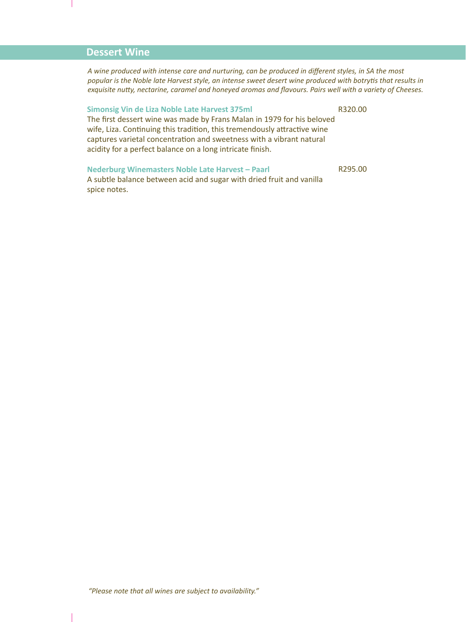#### **Dessert Wine**

*A wine produced with intense care and nurturing, can be produced in different styles, in SA the most popular is the Noble late Harvest style, an intense sweet desert wine produced with botrytis that results in exquisite nutty, nectarine, caramel and honeyed aromas and flavours. Pairs well with a variety of Cheeses.*

#### **Simonsig Vin de Liza Noble Late Harvest 375ml**

R320.00

R295.00

The first dessert wine was made by Frans Malan in 1979 for his beloved wife, Liza. Continuing this tradition, this tremendously attractive wine captures varietal concentration and sweetness with a vibrant natural acidity for a perfect balance on a long intricate finish.

#### **Nederburg Winemasters Noble Late Harvest – Paarl**

A subtle balance between acid and sugar with dried fruit and vanilla spice notes.